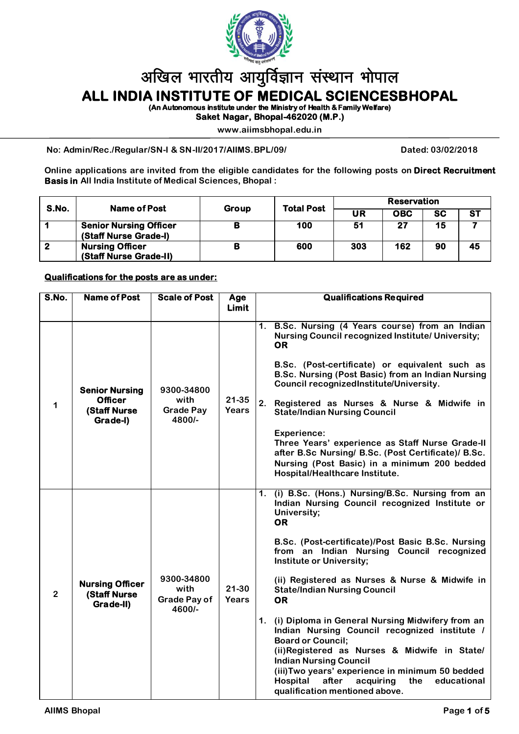

# अखिल भारतीय आयुर्विज्ञान संस्थान भोपाल

**ALL INDIA INSTITUTE OF MEDICAL SCIENCESBHOPAL** 

**(An Autonomous institute under the Ministry of Health & Family Welfare)** 

**Saket Nagar, Bhopal-462020 (M.P.)** 

**www.aiimsbhopal.edu.in**

**No: Admin/Rec./Regular/SN-I & SN-II/2017/AIIMS.BPL/09/ Dated: 03/02/2018**

**Online applications are invited from the eligible candidates for the following posts on Direct Recruitment Basis in All India Institute of Medical Sciences, Bhopal :**

| S.No.       | Name of Post                                           | Group | <b>Total Post</b> | <b>Reservation</b> |            |           |           |
|-------------|--------------------------------------------------------|-------|-------------------|--------------------|------------|-----------|-----------|
|             |                                                        |       |                   | UR                 | <b>OBC</b> | <b>SC</b> | <b>ST</b> |
|             | <b>Senior Nursing Officer</b><br>(Staff Nurse Grade-I) |       | 100               | -51                | 27         | 15        |           |
| $\mathbf 2$ | <b>Nursing Officer</b><br>(Staff Nurse Grade-II)       |       | 600               | 303                | 162        | 90        | 45        |

## **Qualifications for the posts are as under:**

| S.No.          | <b>Name of Post</b>                                                         | <b>Scale of Post</b>                                | Age<br><b>Limit</b>       | <b>Qualifications Required</b>                                                                                                                                                                                                                                                                                                                                                                                                                                                                                                                                                                                                                                                                                                          |  |  |
|----------------|-----------------------------------------------------------------------------|-----------------------------------------------------|---------------------------|-----------------------------------------------------------------------------------------------------------------------------------------------------------------------------------------------------------------------------------------------------------------------------------------------------------------------------------------------------------------------------------------------------------------------------------------------------------------------------------------------------------------------------------------------------------------------------------------------------------------------------------------------------------------------------------------------------------------------------------------|--|--|
| 1              | <b>Senior Nursing</b><br><b>Officer</b><br><b>(Staff Nurse)</b><br>Grade-I) | 9300-34800<br>with<br><b>Grade Pay</b><br>4800/-    | $21 - 35$<br><b>Years</b> | B.Sc. Nursing (4 Years course) from an Indian<br>1.<br><b>Nursing Council recognized Institute/ University;</b><br><b>OR</b><br>B.Sc. (Post-certificate) or equivalent such as<br>B.Sc. Nursing (Post Basic) from an Indian Nursing<br>Council recognizedInstitute/University.<br>2.<br>Registered as Nurses & Nurse & Midwife in<br><b>State/Indian Nursing Council</b><br><b>Experience:</b><br>Three Years' experience as Staff Nurse Grade-II<br>after B.Sc Nursing/ B.Sc. (Post Certificate)/ B.Sc.<br>Nursing (Post Basic) in a minimum 200 bedded<br>Hospital/Healthcare Institute.                                                                                                                                              |  |  |
| $\overline{2}$ | <b>Nursing Officer</b><br><b>(Staff Nurse)</b><br>Grade-II)                 | 9300-34800<br>with<br><b>Grade Pay of</b><br>4600/- | $21 - 30$<br>Years        | 1. (i) B.Sc. (Hons.) Nursing/B.Sc. Nursing from an<br>Indian Nursing Council recognized Institute or<br>University;<br><b>OR</b><br>B.Sc. (Post-certificate)/Post Basic B.Sc. Nursing<br>from an Indian Nursing Council recognized<br>Institute or University;<br>(ii) Registered as Nurses & Nurse & Midwife in<br><b>State/Indian Nursing Council</b><br><b>OR</b><br>1. (i) Diploma in General Nursing Midwifery from an<br>Indian Nursing Council recognized institute /<br><b>Board or Council;</b><br>(ii)Registered as Nurses & Midwife in State/<br><b>Indian Nursing Council</b><br>(iii) Two years' experience in minimum 50 bedded<br>the<br>Hospital<br>after<br>acquiring<br>educational<br>qualification mentioned above. |  |  |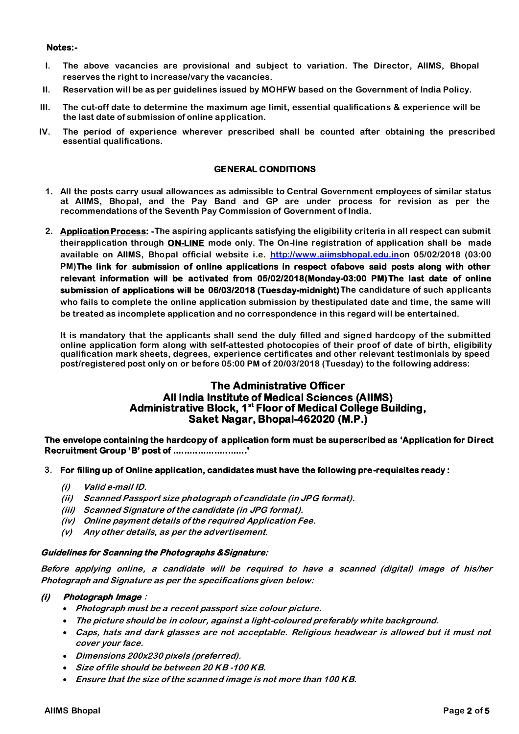#### **Notes:-**

- **I. The above vacancies are provisional and subject to variation. The Director, AIIMS, Bhopal reserves the right to increase/vary the vacancies.**
- **II. Reservation will be as per guidelines issued by MOHFW based on the Government of India Policy.**
- **III. The cut-off date to determine the maximum age limit, essential qualifications & experience will be the last date of submission of online application.**
- **IV. The period of experience wherever prescribed shall be counted after obtaining the prescribed essential qualifications.**

#### **GENERAL CONDITIONS**

- **1. All the posts carry usual allowances as admissible to Central Government employees of similar status at AIIMS, Bhopal, and the Pay Band and GP are under process for revision as per the recommendations of the Seventh Pay Commission of Government of India.**
- **2. Application Process: -The aspiring applicants satisfying the eligibility criteria in all respect can submit theirapplication through ON-LINE mode only. The On-line registration of application shall be made available on AIIMS, Bhopal official website i.e. http://www.aiimsbhopal.edu.inon 05/02/2018 (03:00 PM)The link for submission of online applications in respect ofabove said posts along with other relevant information will be activated from 05/02/2018(Monday-03:00 PM)The last date of online submission of applications will be 06/03/2018 (Tuesday-midnight)The candidature of such applicants who fails to complete the online application submission by thestipulated date and time, the same will be treated as incomplete application and no correspondence in this regard will be entertained.**

**It is mandatory that the applicants shall send the duly filled and signed hardcopy of the submitted online application form along with self-attested photocopies of their proof of date of birth, eligibility qualification mark sheets, degrees, experience certificates and other relevant testimonials by speed post/registered post only on or before 05:00 PM of 20/03/2018 (Tuesday) to the following address:**

# **The Administrative Officer All India Institute of Medical Sciences (AIIMS) Administrative Block, 1st Floor of Medical College Building, Saket Nagar, Bhopal-462020 (M.P.)**

**The envelope containing the hardcopy of application form must be superscribed as 'Application for Direct Recruitment Group 'B' post of ...........................'** 

## **3. For filling up of Online application, candidates must have the following pre-requisites ready :**

- **(i) Valid e-mail ID.**
- **(ii) Scanned Passport size photograph of candidate (in JPG format).**
- **(iii) Scanned Signature of the candidate (in JPG format).**
- **(iv) Online payment details of the required Application Fee.**
- **(v) Any other details, as per the advertisement.**

#### **Guidelines for Scanning the Photographs &Signature:**

**Before applying online, a candidate will be required to have a scanned (digital) image of his/her Photograph and Signature as per the specifications given below:**

## **(i) Photograph Image :**

- **Photograph must be a recent passport size colour picture.**
- **The picture should be in colour, against a light-coloured preferably white background.**
- **Caps, hats and dark glasses are not acceptable. Religious headwear is allowed but it must not cover your face.**
- **Dimensions 200x230 pixels (preferred).**
- **Size of file should be between 20 KB -100 KB.**
- **Ensure that the size of the scanned image is not more than 100 KB.**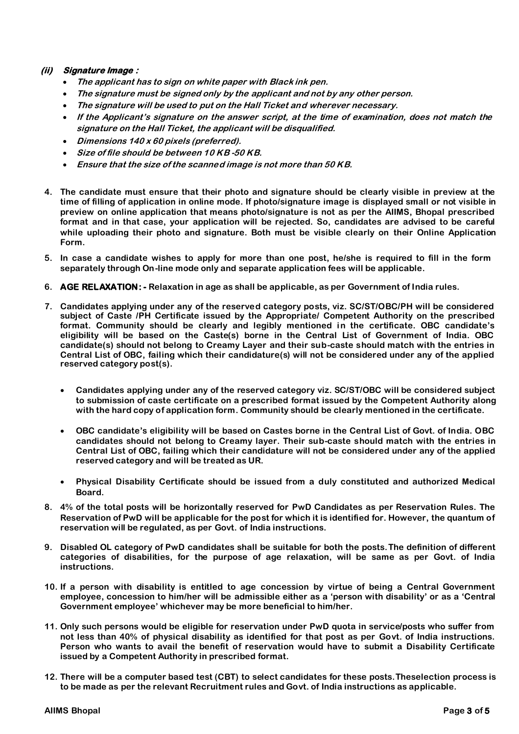# **(ii) Signature Image :**

- **The applicant has to sign on white paper with Black ink pen.**
- **The signature must be signed only by the applicant and not by any other person.**
- **The signature will be used to put on the Hall Ticket and wherever necessary.**
- **If the Applicant's signature on the answer script, at the time of examination, does not match the signature on the Hall Ticket, the applicant will be disqualified.**
- **Dimensions 140 x 60 pixels (preferred).**
- **Size of file should be between 10 KB -50 KB.**
- **Ensure that the size of the scanned image is not more than 50 KB.**
- **4. The candidate must ensure that their photo and signature should be clearly visible in preview at the time of filling of application in online mode. If photo/signature image is displayed small or not visible in preview on online application that means photo/signature is not as per the AIIMS, Bhopal prescribed format and in that case, your application will be rejected. So, candidates are advised to be careful while uploading their photo and signature. Both must be visible clearly on their Online Application Form.**
- **5. In case a candidate wishes to apply for more than one post, he/she is required to fill in the form separately through On-line mode only and separate application fees will be applicable.**
- **6. AGE RELAXATION: - Relaxation in age as shall be applicable, as per Government of India rules.**
- **7. Candidates applying under any of the reserved category posts, viz. SC/ST/OBC/PH will be considered subject of Caste /PH Certificate issued by the Appropriate/ Competent Authority on the prescribed format. Community should be clearly and legibly mentioned in the certificate. OBC candidate's eligibility will be based on the Caste(s) borne in the Central List of Government of India. OBC candidate(s) should not belong to Creamy Layer and their sub-caste should match with the entries in Central List of OBC, failing which their candidature(s) will not be considered under any of the applied reserved category post(s).** 
	- **Candidates applying under any of the reserved category viz. SC/ST/OBC will be considered subject to submission of caste certificate on a prescribed format issued by the Competent Authority along with the hard copy of application form. Community should be clearly mentioned in the certificate.**
	- **OBC candidate's eligibility will be based on Castes borne in the Central List of Govt. of India. OBC candidates should not belong to Creamy layer. Their sub-caste should match with the entries in Central List of OBC, failing which their candidature will not be considered under any of the applied reserved category and will be treated as UR.**
	- **Physical Disability Certificate should be issued from a duly constituted and authorized Medical Board.**
- **8. 4% of the total posts will be horizontally reserved for PwD Candidates as per Reservation Rules. The Reservation of PwD will be applicable for the post for which it is identified for. However, the quantum of reservation will be regulated, as per Govt. of India instructions.**
- **9. Disabled OL category of PwD candidates shall be suitable for both the posts.The definition of different categories of disabilities, for the purpose of age relaxation, will be same as per Govt. of India instructions.**
- **10. If a person with disability is entitled to age concession by virtue of being a Central Government employee, concession to him/her will be admissible either as a 'person with disability' or as a 'Central Government employee' whichever may be more beneficial to him/her.**
- **11. Only such persons would be eligible for reservation under PwD quota in service/posts who suffer from not less than 40% of physical disability as identified for that post as per Govt. of India instructions. Person who wants to avail the benefit of reservation would have to submit a Disability Certificate issued by a Competent Authority in prescribed format.**
- **12. There will be a computer based test (CBT) to select candidates for these posts.Theselection process is to be made as per the relevant Recruitment rules and Govt. of India instructions as applicable.**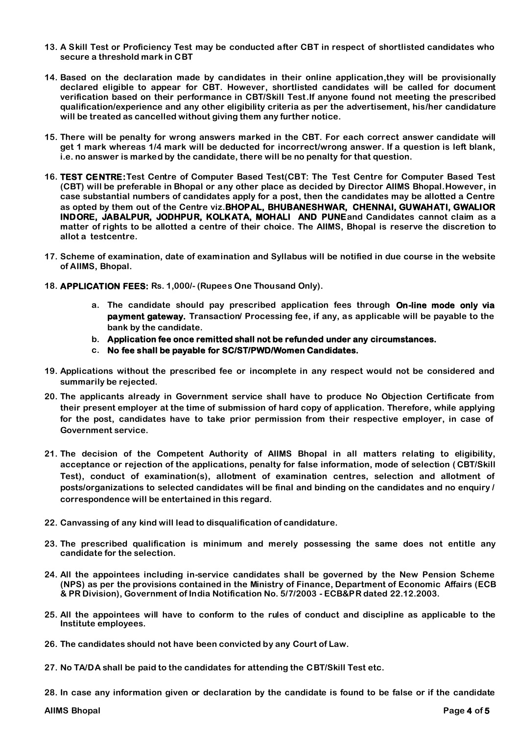- **13. A Skill Test or Proficiency Test may be conducted after CBT in respect of shortlisted candidates who secure a threshold mark in CBT**
- **14. Based on the declaration made by candidates in their online application,they will be provisionally declared eligible to appear for CBT. However, shortlisted candidates will be called for document verification based on their performance in CBT/Skill Test.If anyone found not meeting the prescribed qualification/experience and any other eligibility criteria as per the advertisement, his/her candidature will be treated as cancelled without giving them any further notice.**
- **15. There will be penalty for wrong answers marked in the CBT. For each correct answer candidate will get 1 mark whereas 1/4 mark will be deducted for incorrect/wrong answer. If a question is left blank, i.e. no answer is marked by the candidate, there will be no penalty for that question.**
- **16. TEST CENTRE:Test Centre of Computer Based Test(CBT: The Test Centre for Computer Based Test (CBT) will be preferable in Bhopal or any other place as decided by Director AIIMS Bhopal.However, in case substantial numbers of candidates apply for a post, then the candidates may be allotted a Centre as opted by them out of the Centre viz.BHOPAL, BHUBANESHWAR, CHENNAI, GUWAHATI, GWALIOR INDORE, JABALPUR, JODHPUR, KOLKATA, MOHALI AND PUNEand Candidates cannot claim as a matter of rights to be allotted a centre of their choice. The AIIMS, Bhopal is reserve the discretion to allot a testcentre.**
- **17. Scheme of examination, date of examination and Syllabus will be notified in due course in the website of AIIMS, Bhopal.**
- **18. APPLICATION FEES: Rs. 1,000/- (Rupees One Thousand Only).**
	- **a. The candidate should pay prescribed application fees through On-line mode only via payment gateway. Transaction/ Processing fee, if any, as applicable will be payable to the bank by the candidate.**
	- **b. Application fee once remitted shall not be refunded under any circumstances.**
	- **c. No fee shall be payable for SC/ST/PWD/Women Candidates.**
- **19. Applications without the prescribed fee or incomplete in any respect would not be considered and summarily be rejected.**
- **20. The applicants already in Government service shall have to produce No Objection Certificate from their present employer at the time of submission of hard copy of application. Therefore, while applying for the post, candidates have to take prior permission from their respective employer, in case of Government service.**
- **21. The decision of the Competent Authority of AIIMS Bhopal in all matters relating to eligibility, acceptance or rejection of the applications, penalty for false information, mode of selection ( CBT/Skill Test), conduct of examination(s), allotment of examination centres, selection and allotment of posts/organizations to selected candidates will be final and binding on the candidates and no enquiry / correspondence will be entertained in this regard.**
- **22. Canvassing of any kind will lead to disqualification of candidature.**
- **23. The prescribed qualification is minimum and merely possessing the same does not entitle any candidate for the selection.**
- **24. All the appointees including in-service candidates shall be governed by the New Pension Scheme (NPS) as per the provisions contained in the Ministry of Finance, Department of Economic Affairs (ECB & PR Division), Government of India Notification No. 5/7/2003 - ECB&PR dated 22.12.2003.**
- **25. All the appointees will have to conform to the rules of conduct and discipline as applicable to the Institute employees.**
- **26. The candidates should not have been convicted by any Court of Law.**
- **27. No TA/DA shall be paid to the candidates for attending the CBT/Skill Test etc.**

**28. In case any information given or declaration by the candidate is found to be false or if the candidate** 

**AIIMS Bhopal Page 4 of 5**